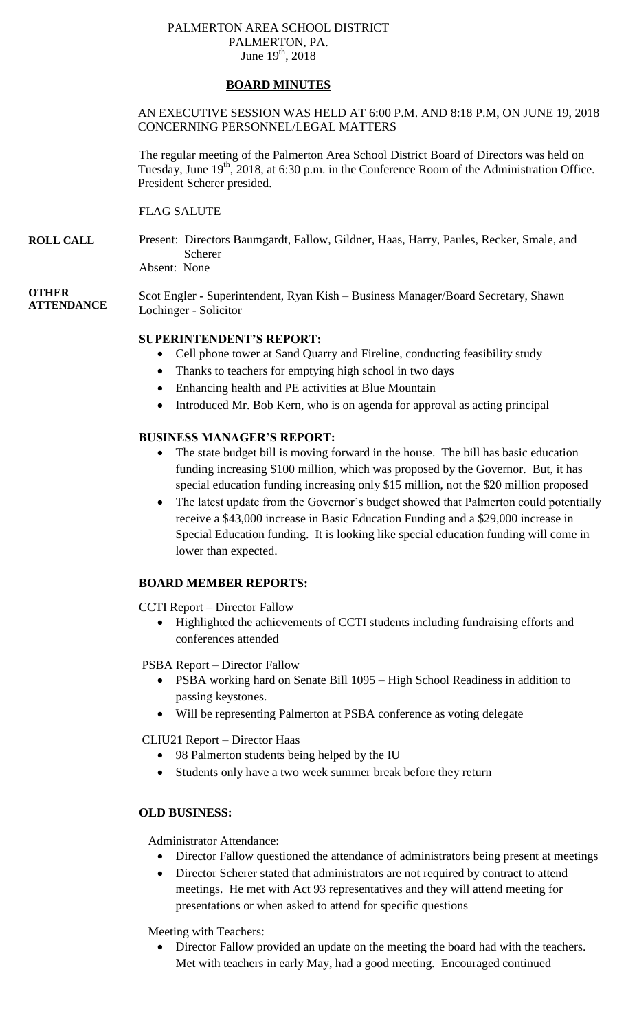## PALMERTON AREA SCHOOL DISTRICT PALMERTON, PA. June  $19^{th}$ , 2018

# **BOARD MINUTES**

# AN EXECUTIVE SESSION WAS HELD AT 6:00 P.M. AND 8:18 P.M, ON JUNE 19, 2018 CONCERNING PERSONNEL/LEGAL MATTERS

The regular meeting of the Palmerton Area School District Board of Directors was held on Tuesday, June  $19<sup>th</sup>$ , 2018, at 6:30 p.m. in the Conference Room of the Administration Office. President Scherer presided.

FLAG SALUTE

**ROLL CALL** Present: Directors Baumgardt, Fallow, Gildner, Haas, Harry, Paules, Recker, Smale, and Scherer

Absent: None

## **OTHER ATTENDANCE**

Scot Engler - Superintendent, Ryan Kish – Business Manager/Board Secretary, Shawn Lochinger - Solicitor

# **SUPERINTENDENT'S REPORT:**

- Cell phone tower at Sand Quarry and Fireline, conducting feasibility study
- Thanks to teachers for emptying high school in two days
- Enhancing health and PE activities at Blue Mountain
- Introduced Mr. Bob Kern, who is on agenda for approval as acting principal

# **BUSINESS MANAGER'S REPORT:**

- The state budget bill is moving forward in the house. The bill has basic education funding increasing \$100 million, which was proposed by the Governor. But, it has special education funding increasing only \$15 million, not the \$20 million proposed
- The latest update from the Governor's budget showed that Palmerton could potentially receive a \$43,000 increase in Basic Education Funding and a \$29,000 increase in Special Education funding. It is looking like special education funding will come in lower than expected.

# **BOARD MEMBER REPORTS:**

CCTI Report – Director Fallow

- Highlighted the achievements of CCTI students including fundraising efforts and conferences attended
- PSBA Report Director Fallow
	- PSBA working hard on Senate Bill 1095 High School Readiness in addition to passing keystones.
	- Will be representing Palmerton at PSBA conference as voting delegate
- CLIU21 Report Director Haas
	- 98 Palmerton students being helped by the IU
	- Students only have a two week summer break before they return

# **OLD BUSINESS:**

Administrator Attendance:

- Director Fallow questioned the attendance of administrators being present at meetings
- Director Scherer stated that administrators are not required by contract to attend meetings. He met with Act 93 representatives and they will attend meeting for presentations or when asked to attend for specific questions

Meeting with Teachers:

 Director Fallow provided an update on the meeting the board had with the teachers. Met with teachers in early May, had a good meeting. Encouraged continued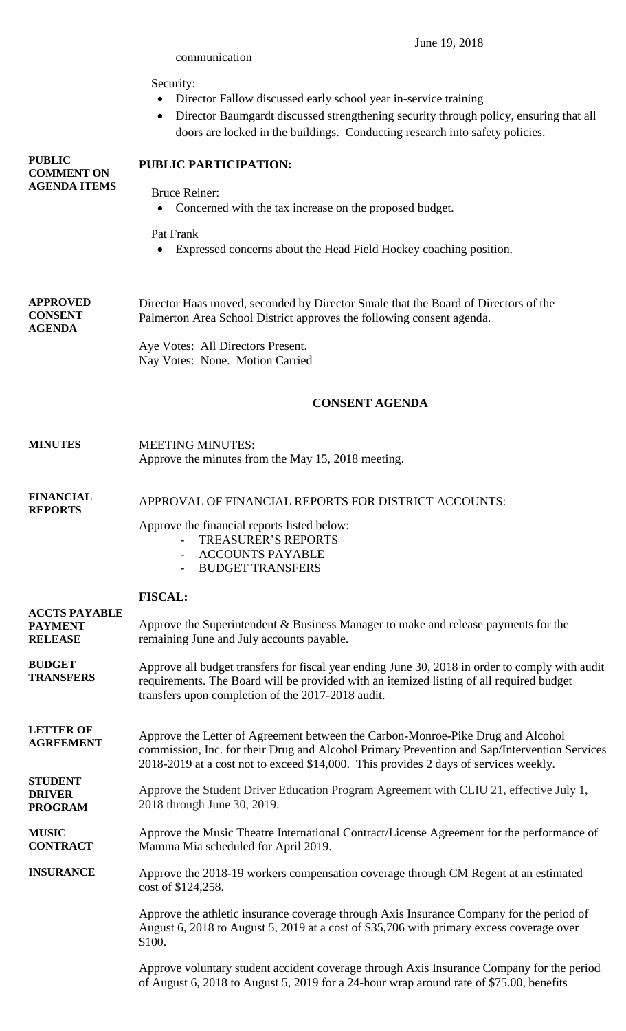|                                                           | Security:<br>Director Fallow discussed early school year in-service training<br>Director Baumgardt discussed strengthening security through policy, ensuring that all<br>$\bullet$<br>doors are locked in the buildings. Conducting research into safety policies.      |  |  |  |
|-----------------------------------------------------------|-------------------------------------------------------------------------------------------------------------------------------------------------------------------------------------------------------------------------------------------------------------------------|--|--|--|
| <b>PUBLIC</b><br><b>COMMENT ON</b><br><b>AGENDA ITEMS</b> | PUBLIC PARTICIPATION:                                                                                                                                                                                                                                                   |  |  |  |
|                                                           | <b>Bruce Reiner:</b><br>Concerned with the tax increase on the proposed budget.                                                                                                                                                                                         |  |  |  |
|                                                           | Pat Frank<br>Expressed concerns about the Head Field Hockey coaching position.                                                                                                                                                                                          |  |  |  |
| <b>APPROVED</b><br><b>CONSENT</b><br><b>AGENDA</b>        | Director Haas moved, seconded by Director Smale that the Board of Directors of the<br>Palmerton Area School District approves the following consent agenda.                                                                                                             |  |  |  |
|                                                           | Aye Votes: All Directors Present.<br>Nay Votes: None. Motion Carried                                                                                                                                                                                                    |  |  |  |
|                                                           | <b>CONSENT AGENDA</b>                                                                                                                                                                                                                                                   |  |  |  |
| <b>MINUTES</b>                                            | <b>MEETING MINUTES:</b><br>Approve the minutes from the May 15, 2018 meeting.                                                                                                                                                                                           |  |  |  |
| <b>FINANCIAL</b><br><b>REPORTS</b>                        | APPROVAL OF FINANCIAL REPORTS FOR DISTRICT ACCOUNTS:                                                                                                                                                                                                                    |  |  |  |
|                                                           | Approve the financial reports listed below:<br><b>TREASURER'S REPORTS</b><br><b>ACCOUNTS PAYABLE</b><br><b>BUDGET TRANSFERS</b>                                                                                                                                         |  |  |  |
|                                                           | <b>FISCAL:</b>                                                                                                                                                                                                                                                          |  |  |  |
| <b>ACCTS PAYABLE</b><br><b>PAYMENT</b><br><b>RELEASE</b>  | Approve the Superintendent & Business Manager to make and release payments for the<br>remaining June and July accounts payable.                                                                                                                                         |  |  |  |
| <b>BUDGET</b><br><b>TRANSFERS</b>                         | Approve all budget transfers for fiscal year ending June 30, 2018 in order to comply with audit<br>requirements. The Board will be provided with an itemized listing of all required budget<br>transfers upon completion of the 2017-2018 audit.                        |  |  |  |
| <b>LETTER OF</b><br><b>AGREEMENT</b>                      | Approve the Letter of Agreement between the Carbon-Monroe-Pike Drug and Alcohol<br>commission, Inc. for their Drug and Alcohol Primary Prevention and Sap/Intervention Services<br>2018-2019 at a cost not to exceed \$14,000. This provides 2 days of services weekly. |  |  |  |
| <b>STUDENT</b><br><b>DRIVER</b><br><b>PROGRAM</b>         | Approve the Student Driver Education Program Agreement with CLIU 21, effective July 1,<br>2018 through June 30, 2019.                                                                                                                                                   |  |  |  |
| <b>MUSIC</b><br><b>CONTRACT</b>                           | Approve the Music Theatre International Contract/License Agreement for the performance of<br>Mamma Mia scheduled for April 2019.                                                                                                                                        |  |  |  |
| <b>INSURANCE</b>                                          | Approve the 2018-19 workers compensation coverage through CM Regent at an estimated<br>cost of \$124,258.                                                                                                                                                               |  |  |  |
|                                                           | Approve the athletic insurance coverage through Axis Insurance Company for the period of<br>August 6, 2018 to August 5, 2019 at a cost of \$35,706 with primary excess coverage over<br>\$100.                                                                          |  |  |  |

communication

June 19, 2018

Approve voluntary student accident coverage through Axis Insurance Company for the period of August 6, 2018 to August 5, 2019 for a 24-hour wrap around rate of \$75.00, benefits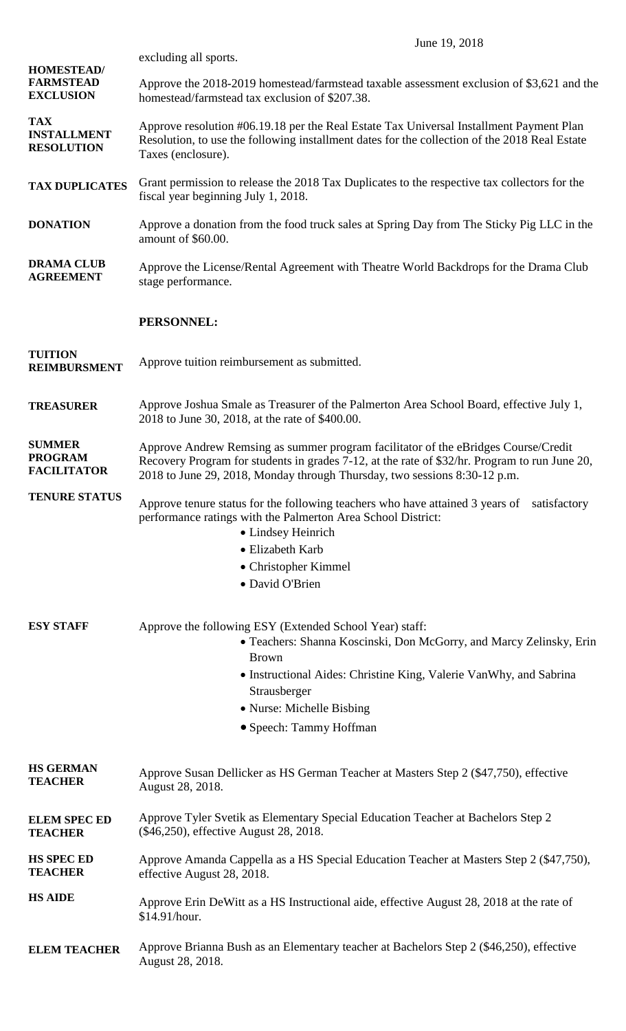|                                                           | June 19, 2018                                                                                                                                                                                                                                                    |  |  |  |  |
|-----------------------------------------------------------|------------------------------------------------------------------------------------------------------------------------------------------------------------------------------------------------------------------------------------------------------------------|--|--|--|--|
|                                                           | excluding all sports.                                                                                                                                                                                                                                            |  |  |  |  |
| <b>HOMESTEAD/</b><br><b>FARMSTEAD</b><br><b>EXCLUSION</b> | Approve the 2018-2019 homestead/farmstead taxable assessment exclusion of \$3,621 and the<br>homestead/farmstead tax exclusion of \$207.38.                                                                                                                      |  |  |  |  |
| <b>TAX</b><br><b>INSTALLMENT</b><br><b>RESOLUTION</b>     | Approve resolution #06.19.18 per the Real Estate Tax Universal Installment Payment Plan<br>Resolution, to use the following installment dates for the collection of the 2018 Real Estate<br>Taxes (enclosure).                                                   |  |  |  |  |
| <b>TAX DUPLICATES</b>                                     | Grant permission to release the 2018 Tax Duplicates to the respective tax collectors for the<br>fiscal year beginning July 1, 2018.                                                                                                                              |  |  |  |  |
| <b>DONATION</b>                                           | Approve a donation from the food truck sales at Spring Day from The Sticky Pig LLC in the<br>amount of \$60.00.                                                                                                                                                  |  |  |  |  |
| <b>DRAMA CLUB</b><br><b>AGREEMENT</b>                     | Approve the License/Rental Agreement with Theatre World Backdrops for the Drama Club<br>stage performance.                                                                                                                                                       |  |  |  |  |
|                                                           | PERSONNEL:                                                                                                                                                                                                                                                       |  |  |  |  |
| <b>TUITION</b><br><b>REIMBURSMENT</b>                     | Approve tuition reimbursement as submitted.                                                                                                                                                                                                                      |  |  |  |  |
| <b>TREASURER</b>                                          | Approve Joshua Smale as Treasurer of the Palmerton Area School Board, effective July 1,<br>2018 to June 30, 2018, at the rate of \$400.00.                                                                                                                       |  |  |  |  |
| <b>SUMMER</b><br><b>PROGRAM</b><br><b>FACILITATOR</b>     | Approve Andrew Remsing as summer program facilitator of the eBridges Course/Credit<br>Recovery Program for students in grades 7-12, at the rate of \$32/hr. Program to run June 20,<br>2018 to June 29, 2018, Monday through Thursday, two sessions 8:30-12 p.m. |  |  |  |  |
| <b>TENURE STATUS</b>                                      | Approve tenure status for the following teachers who have attained 3 years of satisfactory<br>performance ratings with the Palmerton Area School District:<br>• Lindsey Heinrich                                                                                 |  |  |  |  |
|                                                           | • Elizabeth Karb                                                                                                                                                                                                                                                 |  |  |  |  |
|                                                           | • Christopher Kimmel                                                                                                                                                                                                                                             |  |  |  |  |
|                                                           | · David O'Brien                                                                                                                                                                                                                                                  |  |  |  |  |
| <b>ESY STAFF</b>                                          | Approve the following ESY (Extended School Year) staff:<br>• Teachers: Shanna Koscinski, Don McGorry, and Marcy Zelinsky, Erin<br><b>Brown</b>                                                                                                                   |  |  |  |  |
|                                                           | • Instructional Aides: Christine King, Valerie Van Why, and Sabrina<br>Strausberger                                                                                                                                                                              |  |  |  |  |
|                                                           | • Nurse: Michelle Bisbing                                                                                                                                                                                                                                        |  |  |  |  |
|                                                           | • Speech: Tammy Hoffman                                                                                                                                                                                                                                          |  |  |  |  |
| <b>HS GERMAN</b><br><b>TEACHER</b>                        | Approve Susan Dellicker as HS German Teacher at Masters Step 2 (\$47,750), effective<br>August 28, 2018.                                                                                                                                                         |  |  |  |  |
| <b>ELEM SPEC ED</b><br><b>TEACHER</b>                     | Approve Tyler Svetik as Elementary Special Education Teacher at Bachelors Step 2<br>(\$46,250), effective August 28, 2018.                                                                                                                                       |  |  |  |  |
| <b>HS SPEC ED</b><br><b>TEACHER</b>                       | Approve Amanda Cappella as a HS Special Education Teacher at Masters Step 2 (\$47,750),<br>effective August 28, 2018.                                                                                                                                            |  |  |  |  |
| <b>HS AIDE</b>                                            | Approve Erin DeWitt as a HS Instructional aide, effective August 28, 2018 at the rate of<br>\$14.91/hour.                                                                                                                                                        |  |  |  |  |
| <b>ELEM TEACHER</b>                                       | Approve Brianna Bush as an Elementary teacher at Bachelors Step 2 (\$46,250), effective<br>August 28, 2018.                                                                                                                                                      |  |  |  |  |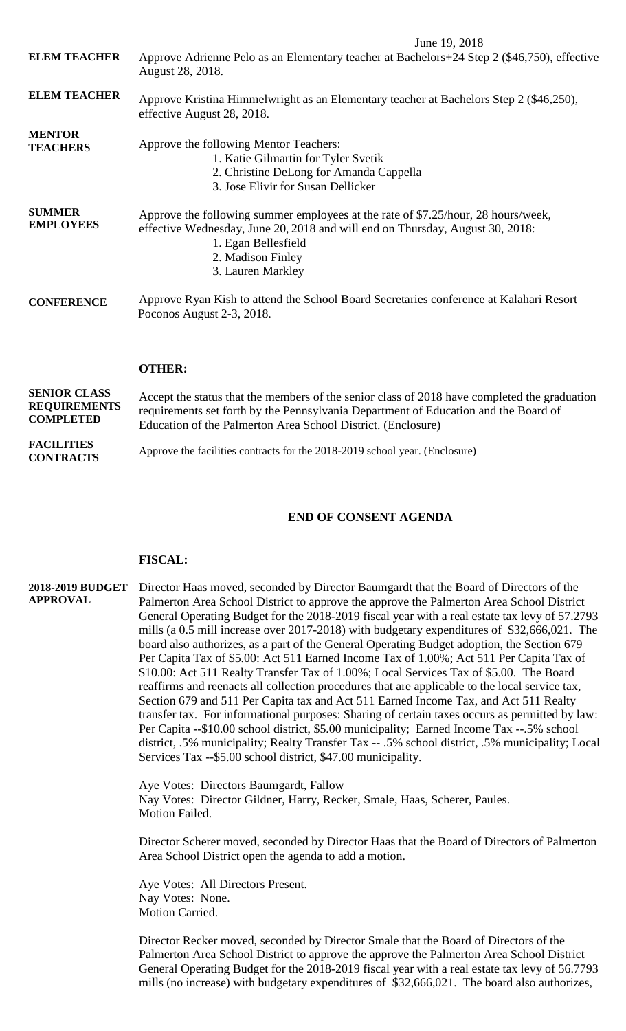June 19, 2018 **ELEM TEACHER ELEM TEACHER MENTOR TEACHERS SUMMER EMPLOYEES** Approve Adrienne Pelo as an Elementary teacher at Bachelors+24 Step 2 (\$46,750), effective August 28, 2018. Approve Kristina Himmelwright as an Elementary teacher at Bachelors Step 2 (\$46,250), effective August 28, 2018. Approve the following Mentor Teachers: 1. Katie Gilmartin for Tyler Svetik 2. Christine DeLong for Amanda Cappella 3. Jose Elivir for Susan Dellicker Approve the following summer employees at the rate of \$7.25/hour, 28 hours/week, effective Wednesday, June 20, 2018 and will end on Thursday, August 30, 2018: 1. Egan Bellesfield 2. Madison Finley 3. Lauren Markley

**CONFERENCE** Approve Ryan Kish to attend the School Board Secretaries conference at Kalahari Resort Poconos August 2-3, 2018.

## **OTHER:**

**SENIOR CLASS REQUIREMENTS COMPLETED FACILITIES CONTRACTS** Accept the status that the members of the senior class of 2018 have completed the graduation requirements set forth by the Pennsylvania Department of Education and the Board of Education of the Palmerton Area School District. (Enclosure) Approve the facilities contracts for the 2018-2019 school year. (Enclosure)

# **END OF CONSENT AGENDA**

### **FISCAL:**

### **2018-2019 BUDGET APPROVAL** Director Haas moved, seconded by Director Baumgardt that the Board of Directors of the Palmerton Area School District to approve the approve the Palmerton Area School District General Operating Budget for the 2018-2019 fiscal year with a real estate tax levy of 57.2793 mills (a 0.5 mill increase over 2017-2018) with budgetary expenditures of \$32,666,021. The board also authorizes, as a part of the General Operating Budget adoption, the Section 679 Per Capita Tax of \$5.00: Act 511 Earned Income Tax of 1.00%; Act 511 Per Capita Tax of \$10.00: Act 511 Realty Transfer Tax of 1.00%; Local Services Tax of \$5.00. The Board reaffirms and reenacts all collection procedures that are applicable to the local service tax, Section 679 and 511 Per Capita tax and Act 511 Earned Income Tax, and Act 511 Realty transfer tax. For informational purposes: Sharing of certain taxes occurs as permitted by law: Per Capita --\$10.00 school district, \$5.00 municipality; Earned Income Tax --.5% school district, .5% municipality; Realty Transfer Tax -- .5% school district, .5% municipality; Local Services Tax --\$5.00 school district, \$47.00 municipality.

Aye Votes: Directors Baumgardt, Fallow Nay Votes: Director Gildner, Harry, Recker, Smale, Haas, Scherer, Paules. Motion Failed.

Director Scherer moved, seconded by Director Haas that the Board of Directors of Palmerton Area School District open the agenda to add a motion.

Aye Votes: All Directors Present. Nay Votes: None. Motion Carried.

Director Recker moved, seconded by Director Smale that the Board of Directors of the Palmerton Area School District to approve the approve the Palmerton Area School District General Operating Budget for the 2018-2019 fiscal year with a real estate tax levy of 56.7793 mills (no increase) with budgetary expenditures of \$32,666,021. The board also authorizes,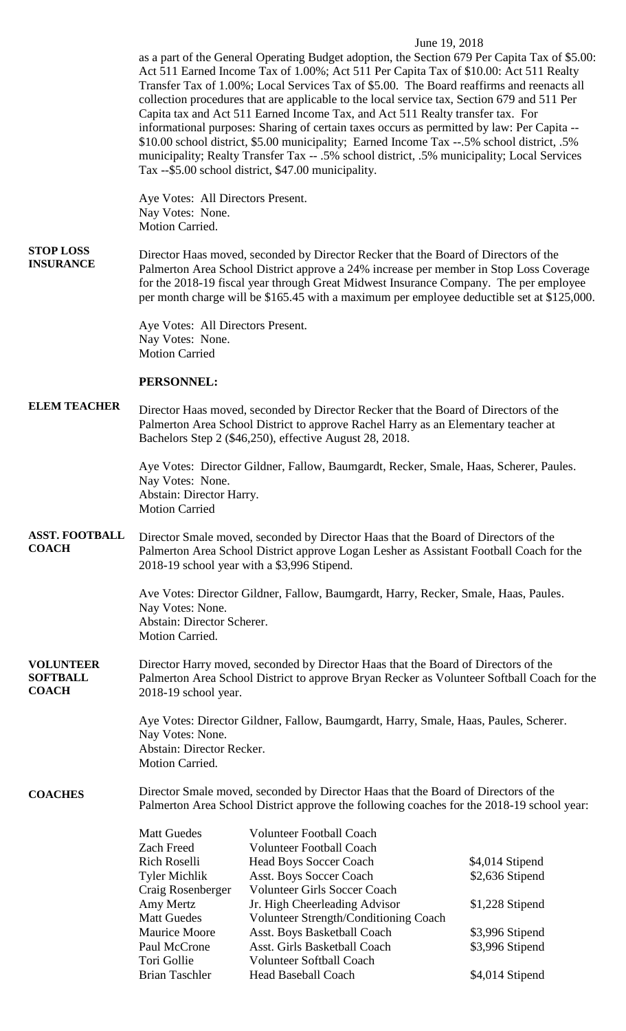## June 19, 2018

as a part of the General Operating Budget adoption, the Section 679 Per Capita Tax of \$5.00: Act 511 Earned Income Tax of 1.00%; Act 511 Per Capita Tax of \$10.00: Act 511 Realty Transfer Tax of 1.00%; Local Services Tax of \$5.00. The Board reaffirms and reenacts all collection procedures that are applicable to the local service tax, Section 679 and 511 Per Capita tax and Act 511 Earned Income Tax, and Act 511 Realty transfer tax. For informational purposes: Sharing of certain taxes occurs as permitted by law: Per Capita -- \$10.00 school district, \$5.00 municipality; Earned Income Tax --.5% school district, .5% municipality; Realty Transfer Tax -- .5% school district, .5% municipality; Local Services Tax --\$5.00 school district, \$47.00 municipality.

Aye Votes: All Directors Present. Nay Votes: None. Motion Carried.

#### **STOP LOSS INSURANCE** Director Haas moved, seconded by Director Recker that the Board of Directors of the Palmerton Area School District approve a 24% increase per member in Stop Loss Coverage for the 2018-19 fiscal year through Great Midwest Insurance Company. The per employee per month charge will be \$165.45 with a maximum per employee deductible set at \$125,000.

Aye Votes: All Directors Present. Nay Votes: None. Motion Carried

## **PERSONNEL:**

#### **ELEM TEACHER** Director Haas moved, seconded by Director Recker that the Board of Directors of the Palmerton Area School District to approve Rachel Harry as an Elementary teacher at Bachelors Step 2 (\$46,250), effective August 28, 2018.

Aye Votes: Director Gildner, Fallow, Baumgardt, Recker, Smale, Haas, Scherer, Paules. Nay Votes: None. Abstain: Director Harry. Motion Carried

#### **ASST. FOOTBALL COACH** Director Smale moved, seconded by Director Haas that the Board of Directors of the Palmerton Area School District approve Logan Lesher as Assistant Football Coach for the 2018-19 school year with a \$3,996 Stipend.

Ave Votes: Director Gildner, Fallow, Baumgardt, Harry, Recker, Smale, Haas, Paules. Nay Votes: None. Abstain: Director Scherer. Motion Carried.

#### **VOLUNTEER SOFTBALL COACH** Director Harry moved, seconded by Director Haas that the Board of Directors of the Palmerton Area School District to approve Bryan Recker as Volunteer Softball Coach for the 2018-19 school year.

Aye Votes: Director Gildner, Fallow, Baumgardt, Harry, Smale, Haas, Paules, Scherer. Nay Votes: None. Abstain: Director Recker. Motion Carried.

### **COACHES**

Director Smale moved, seconded by Director Haas that the Board of Directors of the Palmerton Area School District approve the following coaches for the 2018-19 school year:

| <b>Matt Guedes</b>    | <b>Volunteer Football Coach</b>       |                 |
|-----------------------|---------------------------------------|-----------------|
| <b>Zach Freed</b>     | <b>Volunteer Football Coach</b>       |                 |
| <b>Rich Roselli</b>   | <b>Head Boys Soccer Coach</b>         | \$4,014 Stipend |
| <b>Tyler Michlik</b>  | <b>Asst. Boys Soccer Coach</b>        | \$2,636 Stipend |
| Craig Rosenberger     | <b>Volunteer Girls Soccer Coach</b>   |                 |
| Amy Mertz             | Jr. High Cheerleading Advisor         | \$1,228 Stipend |
| <b>Matt Guedes</b>    | Volunteer Strength/Conditioning Coach |                 |
| Maurice Moore         | Asst. Boys Basketball Coach           | \$3,996 Stipend |
| Paul McCrone          | Asst. Girls Basketball Coach          | \$3,996 Stipend |
| Tori Gollie           | <b>Volunteer Softball Coach</b>       |                 |
| <b>Brian Taschler</b> | <b>Head Baseball Coach</b>            | \$4,014 Stipend |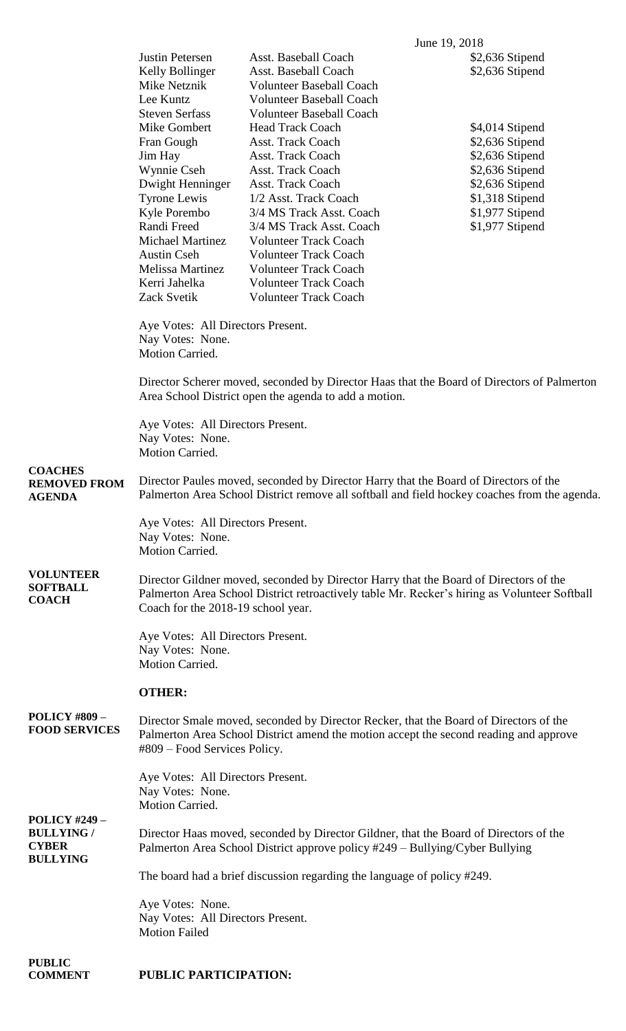|                                                                              |                                                                                                                                                                                                                             |                                                                                                                                                                                                                                               | June 19, 2018                                                                               |  |  |
|------------------------------------------------------------------------------|-----------------------------------------------------------------------------------------------------------------------------------------------------------------------------------------------------------------------------|-----------------------------------------------------------------------------------------------------------------------------------------------------------------------------------------------------------------------------------------------|---------------------------------------------------------------------------------------------|--|--|
|                                                                              | Justin Petersen<br>Kelly Bollinger<br>Mike Netznik<br>Lee Kuntz                                                                                                                                                             | Asst. Baseball Coach<br>Asst. Baseball Coach<br><b>Volunteer Baseball Coach</b><br><b>Volunteer Baseball Coach</b>                                                                                                                            | \$2,636 Stipend<br>\$2,636 Stipend                                                          |  |  |
|                                                                              | <b>Steven Serfass</b><br>Mike Gombert<br>Fran Gough<br>Jim Hay<br>Wynnie Cseh<br>Dwight Henninger                                                                                                                           | <b>Volunteer Baseball Coach</b><br><b>Head Track Coach</b><br><b>Asst. Track Coach</b><br>Asst. Track Coach<br>Asst. Track Coach<br><b>Asst. Track Coach</b>                                                                                  | \$4,014 Stipend<br>\$2,636 Stipend<br>\$2,636 Stipend<br>\$2,636 Stipend<br>\$2,636 Stipend |  |  |
|                                                                              | <b>Tyrone Lewis</b><br>Kyle Porembo<br>Randi Freed<br><b>Michael Martinez</b><br><b>Austin Cseh</b><br>Melissa Martinez<br>Kerri Jahelka<br>Zack Svetik                                                                     | 1/2 Asst. Track Coach<br>3/4 MS Track Asst. Coach<br>3/4 MS Track Asst. Coach<br><b>Volunteer Track Coach</b><br><b>Volunteer Track Coach</b><br><b>Volunteer Track Coach</b><br><b>Volunteer Track Coach</b><br><b>Volunteer Track Coach</b> | \$1,318 Stipend<br>\$1,977 Stipend<br>\$1,977 Stipend                                       |  |  |
|                                                                              | Aye Votes: All Directors Present.<br>Nay Votes: None.<br>Motion Carried.                                                                                                                                                    |                                                                                                                                                                                                                                               |                                                                                             |  |  |
|                                                                              | Director Scherer moved, seconded by Director Haas that the Board of Directors of Palmerton<br>Area School District open the agenda to add a motion.                                                                         |                                                                                                                                                                                                                                               |                                                                                             |  |  |
|                                                                              | Aye Votes: All Directors Present.<br>Nay Votes: None.<br>Motion Carried.                                                                                                                                                    |                                                                                                                                                                                                                                               |                                                                                             |  |  |
| <b>COACHES</b><br><b>REMOVED FROM</b><br><b>AGENDA</b>                       | Director Paules moved, seconded by Director Harry that the Board of Directors of the<br>Palmerton Area School District remove all softball and field hockey coaches from the agenda.                                        |                                                                                                                                                                                                                                               |                                                                                             |  |  |
|                                                                              | Aye Votes: All Directors Present.<br>Nay Votes: None.<br>Motion Carried.                                                                                                                                                    |                                                                                                                                                                                                                                               |                                                                                             |  |  |
| <b>VOLUNTEER</b><br><b>SOFTBALL</b><br><b>COACH</b>                          | Director Gildner moved, seconded by Director Harry that the Board of Directors of the<br>Palmerton Area School District retroactively table Mr. Recker's hiring as Volunteer Softball<br>Coach for the 2018-19 school year. |                                                                                                                                                                                                                                               |                                                                                             |  |  |
|                                                                              | Aye Votes: All Directors Present.<br>Nay Votes: None.<br>Motion Carried.                                                                                                                                                    |                                                                                                                                                                                                                                               |                                                                                             |  |  |
|                                                                              | <b>OTHER:</b>                                                                                                                                                                                                               |                                                                                                                                                                                                                                               |                                                                                             |  |  |
| <b>POLICY #809 –</b><br><b>FOOD SERVICES</b>                                 | Director Smale moved, seconded by Director Recker, that the Board of Directors of the<br>Palmerton Area School District amend the motion accept the second reading and approve<br>#809 – Food Services Policy.              |                                                                                                                                                                                                                                               |                                                                                             |  |  |
|                                                                              | Aye Votes: All Directors Present.<br>Nay Votes: None.<br>Motion Carried.                                                                                                                                                    |                                                                                                                                                                                                                                               |                                                                                             |  |  |
| <b>POLICY #249 –</b><br><b>BULLYING /</b><br><b>CYBER</b><br><b>BULLYING</b> | Director Haas moved, seconded by Director Gildner, that the Board of Directors of the<br>Palmerton Area School District approve policy #249 – Bullying/Cyber Bullying                                                       |                                                                                                                                                                                                                                               |                                                                                             |  |  |
|                                                                              | The board had a brief discussion regarding the language of policy #249.                                                                                                                                                     |                                                                                                                                                                                                                                               |                                                                                             |  |  |
|                                                                              | Aye Votes: None.<br>Nay Votes: All Directors Present.<br><b>Motion Failed</b>                                                                                                                                               |                                                                                                                                                                                                                                               |                                                                                             |  |  |
| <b>PUBLIC</b>                                                                |                                                                                                                                                                                                                             |                                                                                                                                                                                                                                               |                                                                                             |  |  |

**COMMENT**

**PUBLIC PARTICIPATION:**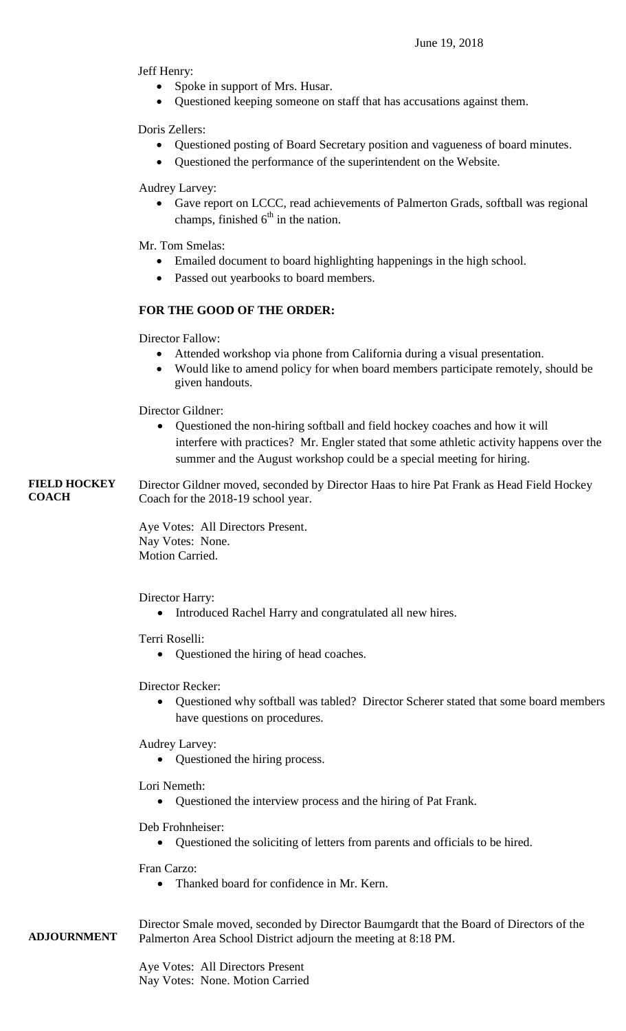Jeff Henry:

- Spoke in support of Mrs. Husar.
- Questioned keeping someone on staff that has accusations against them.

Doris Zellers:

- Questioned posting of Board Secretary position and vagueness of board minutes.
- Questioned the performance of the superintendent on the Website.

Audrey Larvey:

 Gave report on LCCC, read achievements of Palmerton Grads, softball was regional champs, finished  $6<sup>th</sup>$  in the nation.

Mr. Tom Smelas:

- Emailed document to board highlighting happenings in the high school.
- Passed out yearbooks to board members.

# **FOR THE GOOD OF THE ORDER:**

Director Fallow:

- Attended workshop via phone from California during a visual presentation.
- Would like to amend policy for when board members participate remotely, should be given handouts.

Director Gildner:

- Questioned the non-hiring softball and field hockey coaches and how it will interfere with practices? Mr. Engler stated that some athletic activity happens over the summer and the August workshop could be a special meeting for hiring.
- **FIELD HOCKEY COACH** Director Gildner moved, seconded by Director Haas to hire Pat Frank as Head Field Hockey Coach for the 2018-19 school year.

Aye Votes: All Directors Present. Nay Votes: None. Motion Carried.

Director Harry:

Introduced Rachel Harry and congratulated all new hires.

Terri Roselli:

Questioned the hiring of head coaches.

Director Recker:

 Questioned why softball was tabled? Director Scherer stated that some board members have questions on procedures.

Audrey Larvey:

• Questioned the hiring process.

Lori Nemeth:

Questioned the interview process and the hiring of Pat Frank.

Deb Frohnheiser:

Questioned the soliciting of letters from parents and officials to be hired.

Fran Carzo:

• Thanked board for confidence in Mr. Kern.

**ADJOURNMENT** Director Smale moved, seconded by Director Baumgardt that the Board of Directors of the Palmerton Area School District adjourn the meeting at 8:18 PM.

> Aye Votes: All Directors Present Nay Votes: None. Motion Carried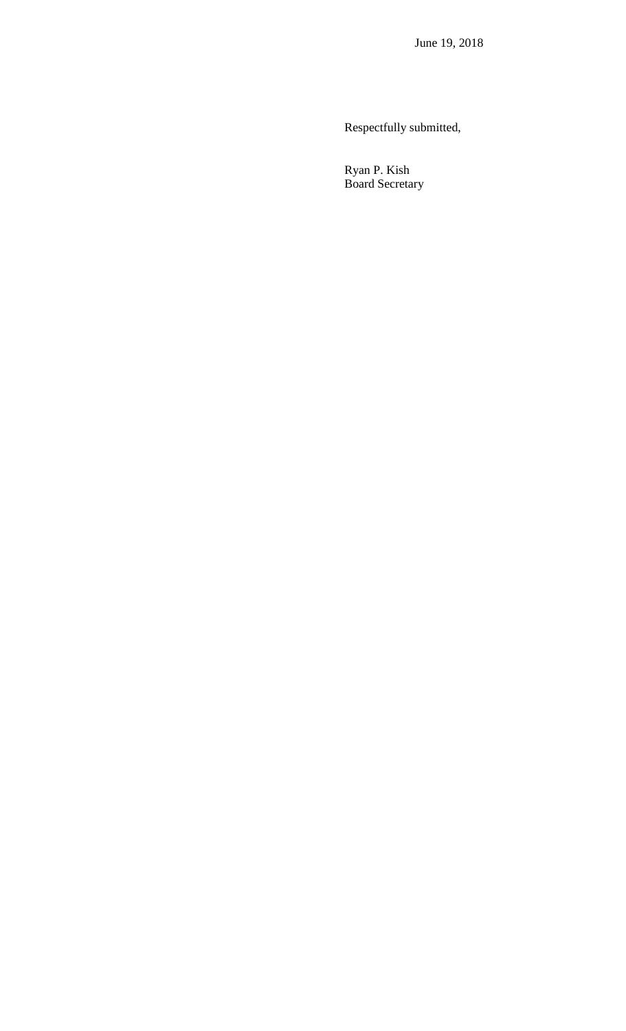Respectfully submitted,

 Ryan P. Kish Board Secretary